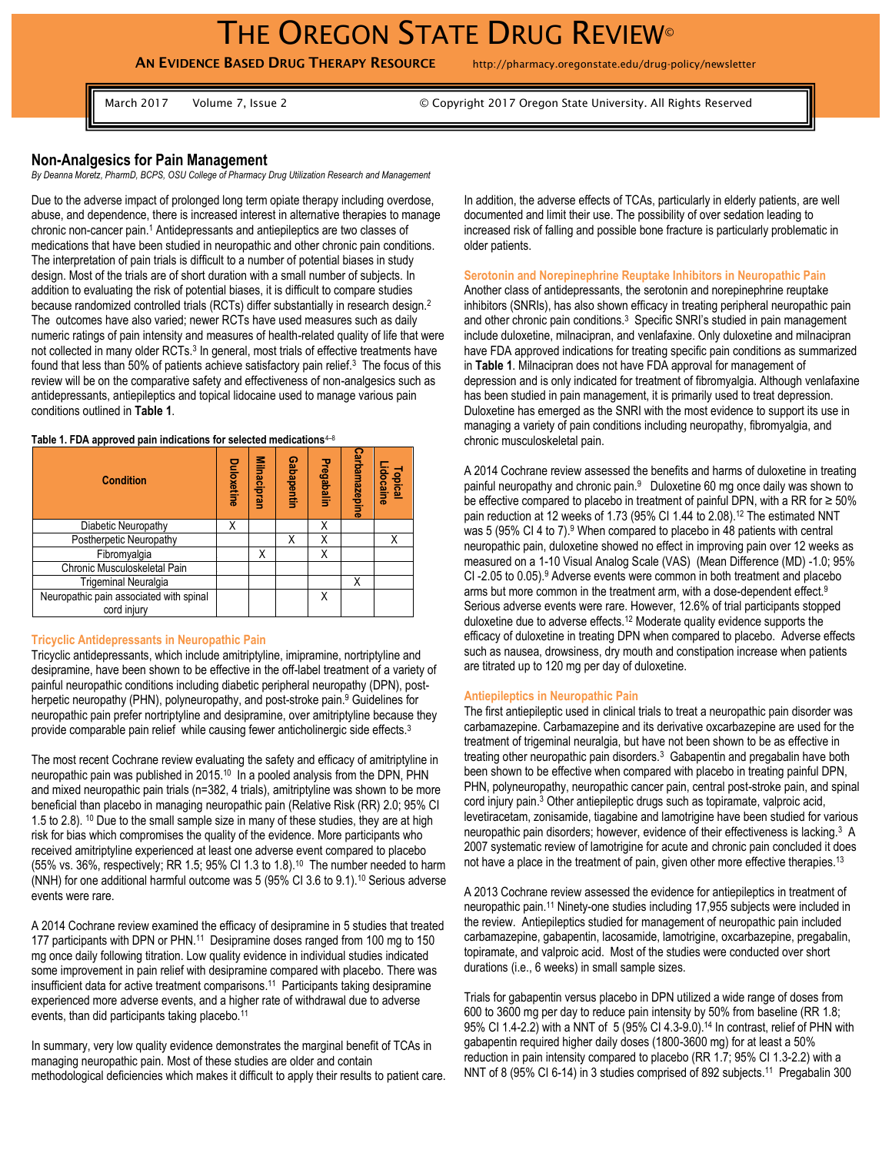# THE OREGON STATE DRUG REVIEW®

**AN EVIDENCE BASED DRUG THERAPY RESOURCE** http://pharmacy.oregonstate.edu/drug-policy/newsletter

March 2017 Volume 7, Issue 2 © Copyright 2017 Oregon State University. All Rights Reserved

# **Non-Analgesics for Pain Management**

*By Deanna Moretz, PharmD, BCPS, OSU College of Pharmacy Drug Utilization Research and Management*

Due to the adverse impact of prolonged long term opiate therapy including overdose, abuse, and dependence, there is increased interest in alternative therapies to manage chronic non-cancer pain.<sup>1</sup> Antidepressants and antiepileptics are two classes of medications that have been studied in neuropathic and other chronic pain conditions. The interpretation of pain trials is difficult to a number of potential biases in study design. Most of the trials are of short duration with a small number of subjects. In addition to evaluating the risk of potential biases, it is difficult to compare studies because randomized controlled trials (RCTs) differ substantially in research design.<sup>2</sup> The outcomes have also varied; newer RCTs have used measures such as daily numeric ratings of pain intensity and measures of health-related quality of life that were not collected in many older RCTs.<sup>3</sup> In general, most trials of effective treatments have found that less than 50% of patients achieve satisfactory pain relief.<sup>3</sup> The focus of this review will be on the comparative safety and effectiveness of non-analgesics such as antidepressants, antiepileptics and topical lidocaine used to manage various pain conditions outlined in **Table 1**.

| Table 1. FDA approved pain indications for selected medications $4-8$ |
|-----------------------------------------------------------------------|
|-----------------------------------------------------------------------|

| <b>Condition</b>                                       | Duloxetine | Milnacipran | Gabapentin | Pregabalin | Carbamazepine | Topical<br>Lidocaine |
|--------------------------------------------------------|------------|-------------|------------|------------|---------------|----------------------|
| Diabetic Neuropathy                                    | Χ          |             |            | Χ          |               |                      |
| Postherpetic Neuropathy                                |            |             | Χ          |            |               | X                    |
| Fibromyalgia                                           |            | X           |            | Χ          |               |                      |
| Chronic Musculoskeletal Pain                           |            |             |            |            |               |                      |
| Trigeminal Neuralgia                                   |            |             |            |            | Χ             |                      |
| Neuropathic pain associated with spinal<br>cord injury |            |             |            |            |               |                      |

#### **Tricyclic Antidepressants in Neuropathic Pain**

Tricyclic antidepressants, which include amitriptyline, imipramine, nortriptyline and desipramine, have been shown to be effective in the off-label treatment of a variety of painful neuropathic conditions including diabetic peripheral neuropathy (DPN), postherpetic neuropathy (PHN), polyneuropathy, and post-stroke pain.<sup>9</sup> Guidelines for neuropathic pain prefer nortriptyline and desipramine, over amitriptyline because they provide comparable pain relief while causing fewer anticholinergic side effects.<sup>3</sup>

The most recent Cochrane review evaluating the safety and efficacy of amitriptyline in neuropathic pain was published in 2015.<sup>10</sup> In a pooled analysis from the DPN, PHN and mixed neuropathic pain trials (n=382, 4 trials), amitriptyline was shown to be more beneficial than placebo in managing neuropathic pain (Relative Risk (RR) 2.0; 95% CI 1.5 to 2.8). <sup>10</sup> Due to the small sample size in many of these studies, they are at high risk for bias which compromises the quality of the evidence. More participants who received amitriptyline experienced at least one adverse event compared to placebo (55% vs. 36%, respectively; RR 1.5; 95% CI 1.3 to 1.8).<sup>10</sup> The number needed to harm (NNH) for one additional harmful outcome was 5 (95% CI 3.6 to 9.1).<sup>10</sup> Serious adverse events were rare.

A 2014 Cochrane review examined the efficacy of desipramine in 5 studies that treated 177 participants with DPN or PHN.<sup>11</sup> Desipramine doses ranged from 100 mg to 150 mg once daily following titration. Low quality evidence in individual studies indicated some improvement in pain relief with desipramine compared with placebo. There was insufficient data for active treatment comparisons. 11 Participants taking desipramine experienced more adverse events, and a higher rate of withdrawal due to adverse events, than did participants taking placebo.<sup>11</sup>

In summary, very low quality evidence demonstrates the marginal benefit of TCAs in managing neuropathic pain. Most of these studies are older and contain methodological deficiencies which makes it difficult to apply their results to patient care. In addition, the adverse effects of TCAs, particularly in elderly patients, are well documented and limit their use. The possibility of over sedation leading to increased risk of falling and possible bone fracture is particularly problematic in older patients.

#### **Serotonin and Norepinephrine Reuptake Inhibitors in Neuropathic Pain**

Another class of antidepressants, the serotonin and norepinephrine reuptake inhibitors (SNRIs), has also shown efficacy in treating peripheral neuropathic pain and other chronic pain conditions.<sup>3</sup> Specific SNRI's studied in pain management include duloxetine, milnacipran, and venlafaxine. Only duloxetine and milnacipran have FDA approved indications for treating specific pain conditions as summarized in **Table 1**. Milnacipran does not have FDA approval for management of depression and is only indicated for treatment of fibromyalgia. Although venlafaxine has been studied in pain management, it is primarily used to treat depression. Duloxetine has emerged as the SNRI with the most evidence to support its use in managing a variety of pain conditions including neuropathy, fibromyalgia, and chronic musculoskeletal pain.

A 2014 Cochrane review assessed the benefits and harms of duloxetine in treating painful neuropathy and chronic pain.<sup>9</sup> Duloxetine 60 mg once daily was shown to be effective compared to placebo in treatment of painful DPN, with a RR for  $\geq 50\%$ pain reduction at 12 weeks of 1.73 (95% CI 1.44 to 2.08).<sup>12</sup> The estimated NNT was 5 (95% CI 4 to 7).<sup>9</sup> When compared to placebo in 48 patients with central neuropathic pain, duloxetine showed no effect in improving pain over 12 weeks as measured on a 1-10 Visual Analog Scale (VAS) (Mean Difference (MD) -1.0; 95% CI-2.05 to 0.05).<sup>9</sup> Adverse events were common in both treatment and placebo arms but more common in the treatment arm, with a dose-dependent effect.<sup>9</sup> Serious adverse events were rare. However, 12.6% of trial participants stopped duloxetine due to adverse effects.<sup>12</sup> Moderate quality evidence supports the efficacy of duloxetine in treating DPN when compared to placebo. Adverse effects such as nausea, drowsiness, dry mouth and constipation increase when patients are titrated up to 120 mg per day of duloxetine.

### **Antiepileptics in Neuropathic Pain**

The first antiepileptic used in clinical trials to treat a neuropathic pain disorder was carbamazepine. Carbamazepine and its derivative oxcarbazepine are used for the treatment of trigeminal neuralgia, but have not been shown to be as effective in treating other neuropathic pain disorders.<sup>3</sup> Gabapentin and pregabalin have both been shown to be effective when compared with placebo in treating painful DPN, PHN, polyneuropathy, neuropathic cancer pain, central post-stroke pain, and spinal cord injury pain.<sup>3</sup> Other antiepileptic drugs such as topiramate, valproic acid, levetiracetam, zonisamide, tiagabine and lamotrigine have been studied for various neuropathic pain disorders; however, evidence of their effectiveness is lacking.<sup>3</sup> A 2007 systematic review of lamotrigine for acute and chronic pain concluded it does not have a place in the treatment of pain, given other more effective therapies.<sup>13</sup>

A 2013 Cochrane review assessed the evidence for antiepileptics in treatment of neuropathic pain.<sup>11</sup> Ninety-one studies including 17,955 subjects were included in the review. Antiepileptics studied for management of neuropathic pain included carbamazepine, gabapentin, lacosamide, lamotrigine, oxcarbazepine, pregabalin, topiramate, and valproic acid. Most of the studies were conducted over short durations (i.e., 6 weeks) in small sample sizes.

Trials for gabapentin versus placebo in DPN utilized a wide range of doses from 600 to 3600 mg per day to reduce pain intensity by 50% from baseline (RR 1.8; 95% CI 1.4-2.2) with a NNT of 5 (95% CI 4.3-9.0).<sup>14</sup> In contrast, relief of PHN with gabapentin required higher daily doses (1800-3600 mg) for at least a 50% reduction in pain intensity compared to placebo (RR 1.7; 95% CI 1.3-2.2) with a NNT of 8 (95% CI 6-14) in 3 studies comprised of 892 subjects.<sup>11</sup> Pregabalin 300